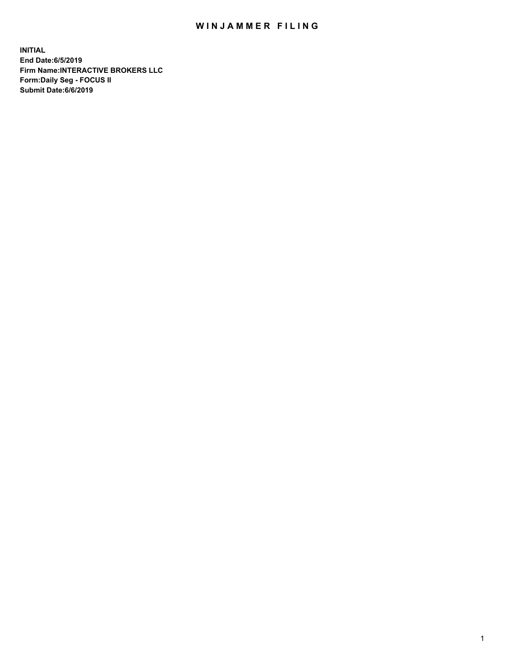## WIN JAMMER FILING

**INITIAL End Date:6/5/2019 Firm Name:INTERACTIVE BROKERS LLC Form:Daily Seg - FOCUS II Submit Date:6/6/2019**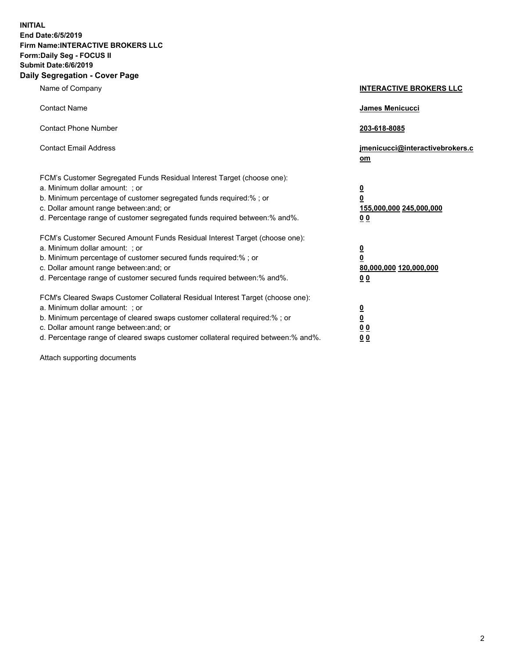**INITIAL End Date:6/5/2019 Firm Name:INTERACTIVE BROKERS LLC Form:Daily Seg - FOCUS II Submit Date:6/6/2019 Daily Segregation - Cover Page**

| Name of Company                                                                                                                                                                                                                                                                                                                | <b>INTERACTIVE BROKERS LLC</b>                                                      |
|--------------------------------------------------------------------------------------------------------------------------------------------------------------------------------------------------------------------------------------------------------------------------------------------------------------------------------|-------------------------------------------------------------------------------------|
| <b>Contact Name</b>                                                                                                                                                                                                                                                                                                            | James Menicucci                                                                     |
| <b>Contact Phone Number</b>                                                                                                                                                                                                                                                                                                    | 203-618-8085                                                                        |
| <b>Contact Email Address</b>                                                                                                                                                                                                                                                                                                   | jmenicucci@interactivebrokers.c<br>om                                               |
| FCM's Customer Segregated Funds Residual Interest Target (choose one):<br>a. Minimum dollar amount: : or<br>b. Minimum percentage of customer segregated funds required:% ; or<br>c. Dollar amount range between: and; or<br>d. Percentage range of customer segregated funds required between:% and%.                         | $\overline{\mathbf{0}}$<br>$\overline{\mathbf{0}}$<br>155,000,000 245,000,000<br>00 |
| FCM's Customer Secured Amount Funds Residual Interest Target (choose one):<br>a. Minimum dollar amount: ; or<br>b. Minimum percentage of customer secured funds required:% ; or<br>c. Dollar amount range between: and; or<br>d. Percentage range of customer secured funds required between:% and%.                           | $\overline{\mathbf{0}}$<br>0<br>80,000,000 120,000,000<br>0 <sub>0</sub>            |
| FCM's Cleared Swaps Customer Collateral Residual Interest Target (choose one):<br>a. Minimum dollar amount: ; or<br>b. Minimum percentage of cleared swaps customer collateral required:% ; or<br>c. Dollar amount range between: and; or<br>d. Percentage range of cleared swaps customer collateral required between:% and%. | <u>0</u><br><u>0</u><br>0 <sub>0</sub><br>0 <sub>0</sub>                            |

Attach supporting documents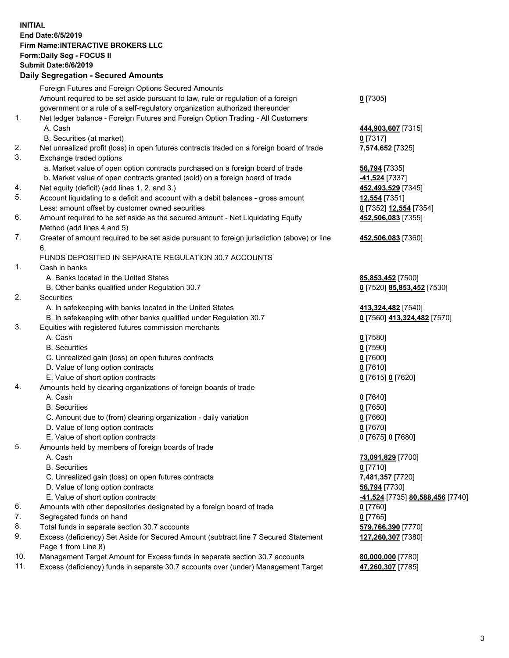## **INITIAL End Date:6/5/2019 Firm Name:INTERACTIVE BROKERS LLC Form:Daily Seg - FOCUS II Submit Date:6/6/2019 Daily Segregation - Secured Amounts**

|     | 2011, Ocgi ogation - Oceaned Anioanita                                                                     |                                                      |
|-----|------------------------------------------------------------------------------------------------------------|------------------------------------------------------|
|     | Foreign Futures and Foreign Options Secured Amounts                                                        |                                                      |
|     | Amount required to be set aside pursuant to law, rule or regulation of a foreign                           | $0$ [7305]                                           |
|     | government or a rule of a self-regulatory organization authorized thereunder                               |                                                      |
| 1.  | Net ledger balance - Foreign Futures and Foreign Option Trading - All Customers                            |                                                      |
|     | A. Cash                                                                                                    | 444,903,607 [7315]                                   |
|     | B. Securities (at market)                                                                                  | $0$ [7317]                                           |
| 2.  | Net unrealized profit (loss) in open futures contracts traded on a foreign board of trade                  | 7,574,652 [7325]                                     |
| 3.  | Exchange traded options                                                                                    |                                                      |
|     | a. Market value of open option contracts purchased on a foreign board of trade                             | <b>56,794</b> [7335]                                 |
|     | b. Market value of open contracts granted (sold) on a foreign board of trade                               | -41,524 [7337]                                       |
| 4.  | Net equity (deficit) (add lines 1. 2. and 3.)                                                              | 452,493,529 [7345]                                   |
| 5.  | Account liquidating to a deficit and account with a debit balances - gross amount                          | 12,554 [7351]                                        |
|     | Less: amount offset by customer owned securities                                                           | 0 [7352] 12,554 [7354]                               |
| 6.  | Amount required to be set aside as the secured amount - Net Liquidating Equity                             | 452,506,083 [7355]                                   |
|     | Method (add lines 4 and 5)                                                                                 |                                                      |
| 7.  | Greater of amount required to be set aside pursuant to foreign jurisdiction (above) or line                | 452,506,083 [7360]                                   |
|     | 6.                                                                                                         |                                                      |
|     | FUNDS DEPOSITED IN SEPARATE REGULATION 30.7 ACCOUNTS                                                       |                                                      |
| 1.  | Cash in banks                                                                                              |                                                      |
|     | A. Banks located in the United States                                                                      | 85,853,452 [7500]                                    |
|     | B. Other banks qualified under Regulation 30.7                                                             | 0 [7520] 85,853,452 [7530]                           |
| 2.  | Securities                                                                                                 |                                                      |
|     | A. In safekeeping with banks located in the United States                                                  | 413,324,482 [7540]                                   |
|     | B. In safekeeping with other banks qualified under Regulation 30.7                                         | 0 [7560] 413,324,482 [7570]                          |
| 3.  | Equities with registered futures commission merchants                                                      |                                                      |
|     | A. Cash                                                                                                    | $0$ [7580]                                           |
|     | <b>B.</b> Securities                                                                                       | $0$ [7590]                                           |
|     | C. Unrealized gain (loss) on open futures contracts                                                        | $0$ [7600]                                           |
|     | D. Value of long option contracts                                                                          | $0$ [7610]                                           |
|     | E. Value of short option contracts                                                                         | 0 [7615] 0 [7620]                                    |
| 4.  | Amounts held by clearing organizations of foreign boards of trade                                          |                                                      |
|     | A. Cash                                                                                                    | $0$ [7640]                                           |
|     | <b>B.</b> Securities                                                                                       | $0$ [7650]                                           |
|     | C. Amount due to (from) clearing organization - daily variation                                            | $0$ [7660]                                           |
|     | D. Value of long option contracts                                                                          | 0 [7670]                                             |
|     | E. Value of short option contracts                                                                         | 0 [7675] 0 [7680]                                    |
| 5.  | Amounts held by members of foreign boards of trade                                                         |                                                      |
|     | A. Cash                                                                                                    | 73,091,829 [7700]                                    |
|     | <b>B.</b> Securities                                                                                       | $0$ [7710]                                           |
|     | C. Unrealized gain (loss) on open futures contracts                                                        | 7,481,357 [7720]                                     |
|     | D. Value of long option contracts                                                                          | 56,794 [7730]                                        |
|     | E. Value of short option contracts                                                                         | <mark>-41,524</mark> [7735] <b>80,588,456</b> [7740] |
| 6.  | Amounts with other depositories designated by a foreign board of trade                                     | 0 [7760]                                             |
| 7.  | Segregated funds on hand                                                                                   | $0$ [7765]                                           |
| 8.  | Total funds in separate section 30.7 accounts                                                              | 579,766,390 [7770]                                   |
| 9.  | Excess (deficiency) Set Aside for Secured Amount (subtract line 7 Secured Statement<br>Page 1 from Line 8) | 127,260,307 [7380]                                   |
| 10. | Management Target Amount for Excess funds in separate section 30.7 accounts                                | 80,000,000 [7780]                                    |
| 11. | Excess (deficiency) funds in separate 30.7 accounts over (under) Management Target                         | 47,260,307 [7785]                                    |
|     |                                                                                                            |                                                      |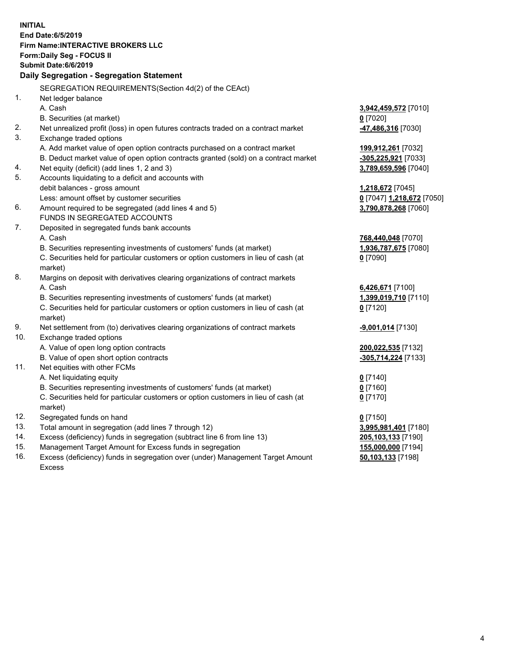|          | <b>INITIAL</b>                                                                                     |                                            |
|----------|----------------------------------------------------------------------------------------------------|--------------------------------------------|
|          | End Date: 6/5/2019                                                                                 |                                            |
|          | Firm Name: INTERACTIVE BROKERS LLC                                                                 |                                            |
|          | Form: Daily Seg - FOCUS II                                                                         |                                            |
|          | Submit Date: 6/6/2019                                                                              |                                            |
|          | Daily Segregation - Segregation Statement                                                          |                                            |
|          |                                                                                                    |                                            |
| 1.       | SEGREGATION REQUIREMENTS(Section 4d(2) of the CEAct)<br>Net ledger balance                         |                                            |
|          | A. Cash                                                                                            |                                            |
|          |                                                                                                    | 3,942,459,572 [7010]<br>$0$ [7020]         |
| 2.       | B. Securities (at market)                                                                          |                                            |
| 3.       | Net unrealized profit (loss) in open futures contracts traded on a contract market                 | -47,486,316 [7030]                         |
|          | Exchange traded options                                                                            |                                            |
|          | A. Add market value of open option contracts purchased on a contract market                        | 199,912,261 [7032]                         |
|          | B. Deduct market value of open option contracts granted (sold) on a contract market                | -305,225,921 [7033]                        |
| 4.<br>5. | Net equity (deficit) (add lines 1, 2 and 3)<br>Accounts liquidating to a deficit and accounts with | 3,789,659,596 [7040]                       |
|          |                                                                                                    |                                            |
|          | debit balances - gross amount<br>Less: amount offset by customer securities                        | 1,218,672 [7045]                           |
| 6.       | Amount required to be segregated (add lines 4 and 5)                                               | 0 [7047] 1,218,672 [7050]                  |
|          | FUNDS IN SEGREGATED ACCOUNTS                                                                       | 3,790,878,268 [7060]                       |
| 7.       | Deposited in segregated funds bank accounts                                                        |                                            |
|          | A. Cash                                                                                            |                                            |
|          | B. Securities representing investments of customers' funds (at market)                             | 768,440,048 [7070]<br>1,936,787,675 [7080] |
|          | C. Securities held for particular customers or option customers in lieu of cash (at                | $0$ [7090]                                 |
|          | market)                                                                                            |                                            |
| 8.       | Margins on deposit with derivatives clearing organizations of contract markets                     |                                            |
|          | A. Cash                                                                                            | 6,426,671 [7100]                           |
|          | B. Securities representing investments of customers' funds (at market)                             | 1,399,019,710 [7110]                       |
|          | C. Securities held for particular customers or option customers in lieu of cash (at                | $0$ [7120]                                 |
|          | market)                                                                                            |                                            |
| 9.       | Net settlement from (to) derivatives clearing organizations of contract markets                    | <u>-9,001,014</u> [7130]                   |
| 10.      | Exchange traded options                                                                            |                                            |
|          | A. Value of open long option contracts                                                             | 200,022,535 [7132]                         |
|          | B. Value of open short option contracts                                                            | -305,714,224 [7133]                        |
| 11.      | Net equities with other FCMs                                                                       |                                            |
|          | A. Net liquidating equity                                                                          | $0$ [7140]                                 |
|          | B. Securities representing investments of customers' funds (at market)                             | $0$ [7160]                                 |
|          | C. Securities held for particular customers or option customers in lieu of cash (at                | $0$ [7170]                                 |
|          | market)                                                                                            |                                            |
| 12.      | Segregated funds on hand                                                                           | $0$ [7150]                                 |
| 13.      | Total amount in segregation (add lines 7 through 12)                                               | 3,995,981,401 [7180]                       |
| 14.      | Excess (deficiency) funds in segregation (subtract line 6 from line 13)                            | 205,103,133 [7190]                         |
| 15.      | Management Target Amount for Excess funds in segregation                                           | 155,000,000 [7194]                         |
| 16       | Exece (deficiency) funds in secrecation ever (under) Management Target Amount                      | 50 103 133 [7108]                          |

16. Excess (deficiency) funds in segregation over (under) Management Target Amount Excess

**50,103,133** [7198]